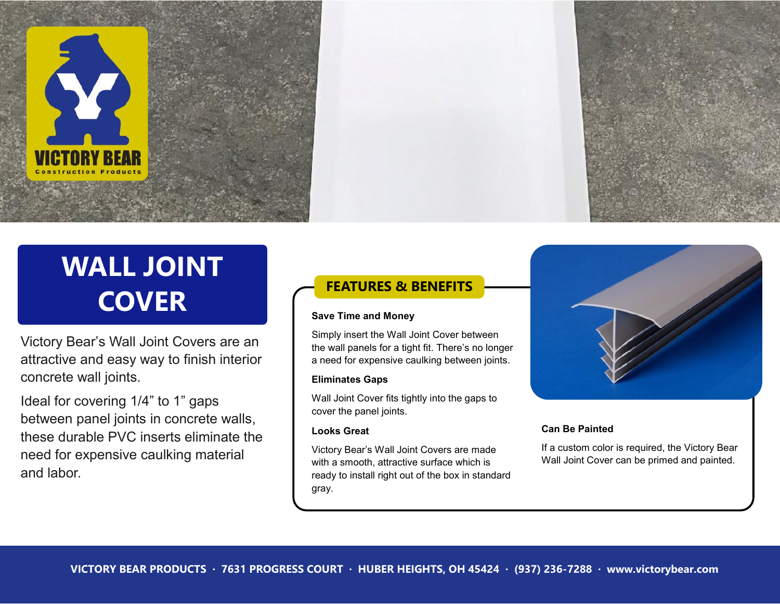

# **WALL JOINT COVER**

Victory Bear's Wall Joint Covers are an attractive and easy way to finish interior concrete wall joints.

Ideal for covering 1/4" to 1" gaps between panel joints in concrete walls, these durable PVC inserts eliminate the need for expensive caulking material and labor.

### **FEATURES & BENEFITS**

#### **Save Time and Money**

Simply insert the Wall Joint Cover between the wall panels for a tight fit. There's no longer a need for expensive caulking between joints.

#### **Eliminates Gaps**

Wall Joint Cover fits tightly into the gaps to cover the panel joints.

#### **Looks Great**

Victory Bear's Wall Joint Covers are made with a smooth, attractive surface which is ready to install right out of the box in standard gray.



#### **Can Be Painted**

If a custom color is required, the Victory Bear Wall Joint Cover can be primed and painted.